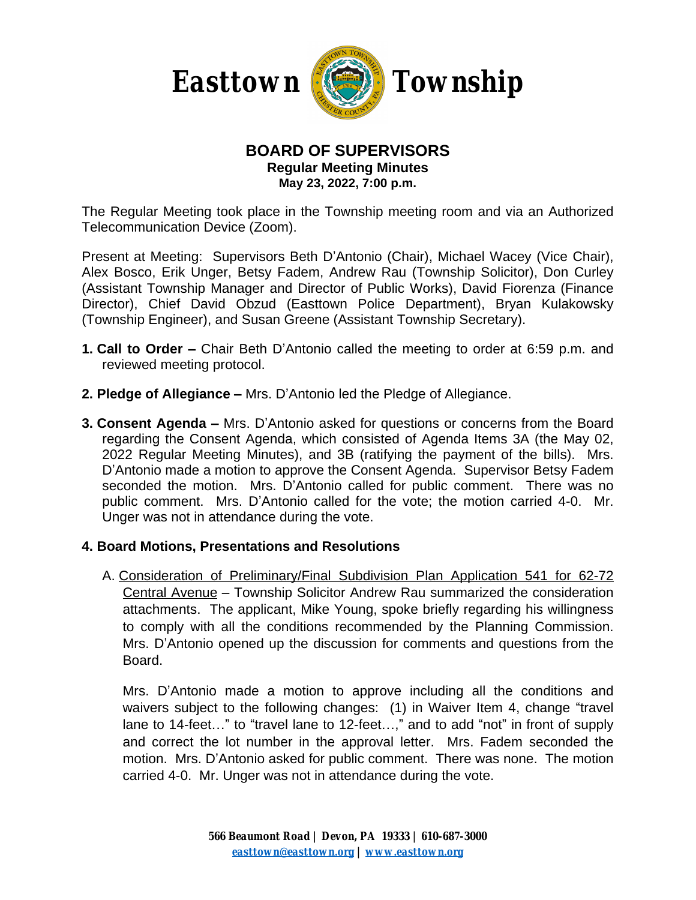

### **BOARD OF SUPERVISORS Regular Meeting Minutes May 23, 2022, 7:00 p.m.**

The Regular Meeting took place in the Township meeting room and via an Authorized Telecommunication Device (Zoom).

Present at Meeting: Supervisors Beth D'Antonio (Chair), Michael Wacey (Vice Chair), Alex Bosco, Erik Unger, Betsy Fadem, Andrew Rau (Township Solicitor), Don Curley (Assistant Township Manager and Director of Public Works), David Fiorenza (Finance Director), Chief David Obzud (Easttown Police Department), Bryan Kulakowsky (Township Engineer), and Susan Greene (Assistant Township Secretary).

- **1. Call to Order –** Chair Beth D'Antonio called the meeting to order at 6:59 p.m. and reviewed meeting protocol.
- **2. Pledge of Allegiance –** Mrs. D'Antonio led the Pledge of Allegiance.
- **3. Consent Agenda –** Mrs. D'Antonio asked for questions or concerns from the Board regarding the Consent Agenda, which consisted of Agenda Items 3A (the May 02, 2022 Regular Meeting Minutes), and 3B (ratifying the payment of the bills). Mrs. D'Antonio made a motion to approve the Consent Agenda. Supervisor Betsy Fadem seconded the motion. Mrs. D'Antonio called for public comment. There was no public comment. Mrs. D'Antonio called for the vote; the motion carried 4-0. Mr. Unger was not in attendance during the vote.

### **4. Board Motions, Presentations and Resolutions**

A. Consideration of Preliminary/Final Subdivision Plan Application 541 for 62-72 Central Avenue – Township Solicitor Andrew Rau summarized the consideration attachments. The applicant, Mike Young, spoke briefly regarding his willingness to comply with all the conditions recommended by the Planning Commission. Mrs. D'Antonio opened up the discussion for comments and questions from the Board.

Mrs. D'Antonio made a motion to approve including all the conditions and waivers subject to the following changes: (1) in Waiver Item 4, change "travel lane to 14-feet..." to "travel lane to 12-feet...," and to add "not" in front of supply and correct the lot number in the approval letter. Mrs. Fadem seconded the motion. Mrs. D'Antonio asked for public comment. There was none. The motion carried 4-0. Mr. Unger was not in attendance during the vote.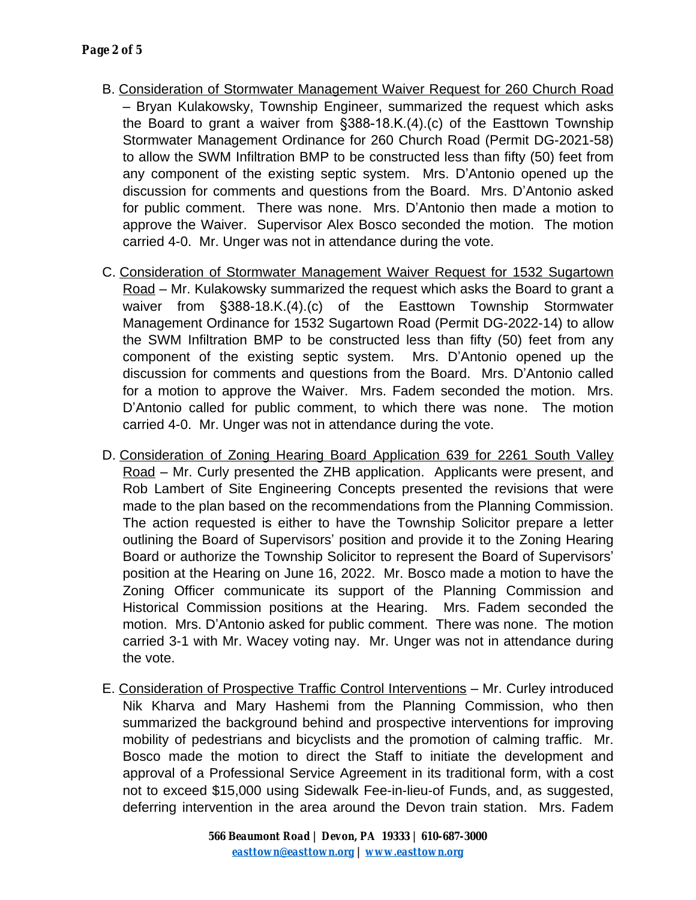- B. Consideration of Stormwater Management Waiver Request for 260 Church Road – Bryan Kulakowsky, Township Engineer, summarized the request which asks the Board to grant a waiver from §388-18.K.(4).(c) of the Easttown Township Stormwater Management Ordinance for 260 Church Road (Permit DG-2021-58) to allow the SWM Infiltration BMP to be constructed less than fifty (50) feet from any component of the existing septic system. Mrs. D'Antonio opened up the discussion for comments and questions from the Board. Mrs. D'Antonio asked for public comment. There was none. Mrs. D'Antonio then made a motion to approve the Waiver. Supervisor Alex Bosco seconded the motion. The motion carried 4-0. Mr. Unger was not in attendance during the vote.
- C. Consideration of Stormwater Management Waiver Request for 1532 Sugartown Road – Mr. Kulakowsky summarized the request which asks the Board to grant a waiver from §388-18.K.(4).(c) of the Easttown Township Stormwater Management Ordinance for 1532 Sugartown Road (Permit DG-2022-14) to allow the SWM Infiltration BMP to be constructed less than fifty (50) feet from any component of the existing septic system. Mrs. D'Antonio opened up the discussion for comments and questions from the Board. Mrs. D'Antonio called for a motion to approve the Waiver. Mrs. Fadem seconded the motion. Mrs. D'Antonio called for public comment, to which there was none. The motion carried 4-0. Mr. Unger was not in attendance during the vote.
- D. Consideration of Zoning Hearing Board Application 639 for 2261 South Valley Road – Mr. Curly presented the ZHB application. Applicants were present, and Rob Lambert of Site Engineering Concepts presented the revisions that were made to the plan based on the recommendations from the Planning Commission. The action requested is either to have the Township Solicitor prepare a letter outlining the Board of Supervisors' position and provide it to the Zoning Hearing Board or authorize the Township Solicitor to represent the Board of Supervisors' position at the Hearing on June 16, 2022. Mr. Bosco made a motion to have the Zoning Officer communicate its support of the Planning Commission and Historical Commission positions at the Hearing. Mrs. Fadem seconded the motion. Mrs. D'Antonio asked for public comment. There was none. The motion carried 3-1 with Mr. Wacey voting nay. Mr. Unger was not in attendance during the vote.
- E. Consideration of Prospective Traffic Control Interventions Mr. Curley introduced Nik Kharva and Mary Hashemi from the Planning Commission, who then summarized the background behind and prospective interventions for improving mobility of pedestrians and bicyclists and the promotion of calming traffic. Mr. Bosco made the motion to direct the Staff to initiate the development and approval of a Professional Service Agreement in its traditional form, with a cost not to exceed \$15,000 using Sidewalk Fee-in-lieu-of Funds, and, as suggested, deferring intervention in the area around the Devon train station. Mrs. Fadem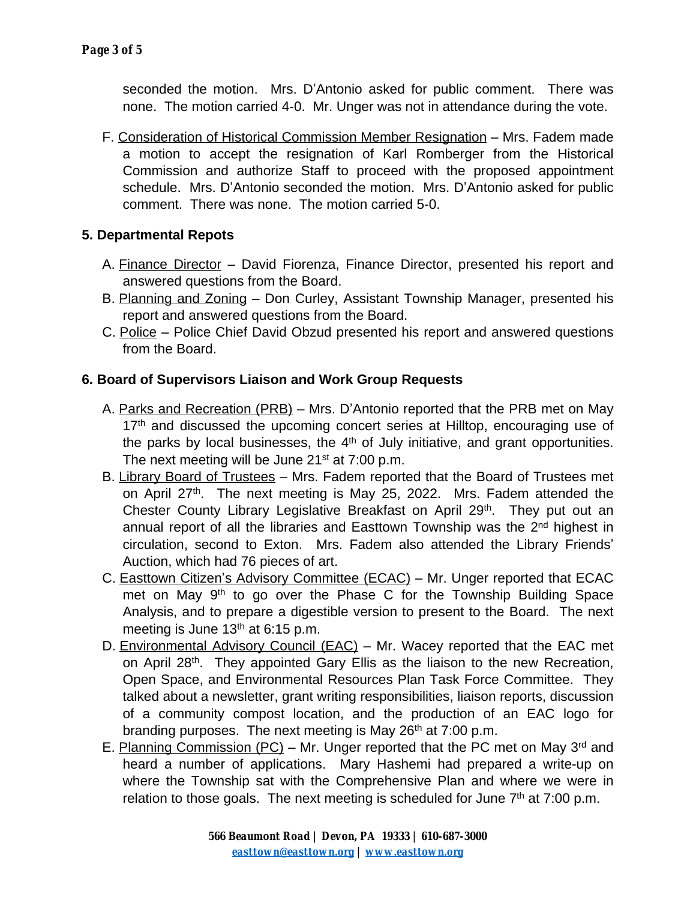seconded the motion. Mrs. D'Antonio asked for public comment. There was none. The motion carried 4-0. Mr. Unger was not in attendance during the vote.

F. Consideration of Historical Commission Member Resignation – Mrs. Fadem made a motion to accept the resignation of Karl Romberger from the Historical Commission and authorize Staff to proceed with the proposed appointment schedule. Mrs. D'Antonio seconded the motion. Mrs. D'Antonio asked for public comment. There was none. The motion carried 5-0.

# **5. Departmental Repots**

- A. Finance Director David Fiorenza, Finance Director, presented his report and answered questions from the Board.
- B. Planning and Zoning Don Curley, Assistant Township Manager, presented his report and answered questions from the Board.
- C. Police Police Chief David Obzud presented his report and answered questions from the Board.

# **6. Board of Supervisors Liaison and Work Group Requests**

- A. Parks and Recreation (PRB) Mrs. D'Antonio reported that the PRB met on May 17<sup>th</sup> and discussed the upcoming concert series at Hilltop, encouraging use of the parks by local businesses, the 4<sup>th</sup> of July initiative, and grant opportunities. The next meeting will be June  $21<sup>st</sup>$  at 7:00 p.m.
- B. Library Board of Trustees Mrs. Fadem reported that the Board of Trustees met on April 27<sup>th</sup>. The next meeting is May 25, 2022. Mrs. Fadem attended the Chester County Library Legislative Breakfast on April 29<sup>th</sup>. They put out an annual report of all the libraries and Easttown Township was the 2<sup>nd</sup> highest in circulation, second to Exton. Mrs. Fadem also attended the Library Friends' Auction, which had 76 pieces of art.
- C. Easttown Citizen's Advisory Committee (ECAC) Mr. Unger reported that ECAC met on May 9<sup>th</sup> to go over the Phase C for the Township Building Space Analysis, and to prepare a digestible version to present to the Board. The next meeting is June  $13<sup>th</sup>$  at 6:15 p.m.
- D. Environmental Advisory Council (EAC) Mr. Wacey reported that the EAC met on April 28<sup>th</sup>. They appointed Gary Ellis as the liaison to the new Recreation, Open Space, and Environmental Resources Plan Task Force Committee. They talked about a newsletter, grant writing responsibilities, liaison reports, discussion of a community compost location, and the production of an EAC logo for branding purposes. The next meeting is May 26<sup>th</sup> at 7:00 p.m.
- E. Planning Commission (PC) Mr. Unger reported that the PC met on May 3<sup>rd</sup> and heard a number of applications. Mary Hashemi had prepared a write-up on where the Township sat with the Comprehensive Plan and where we were in relation to those goals. The next meeting is scheduled for June  $7<sup>th</sup>$  at  $7:00$  p.m.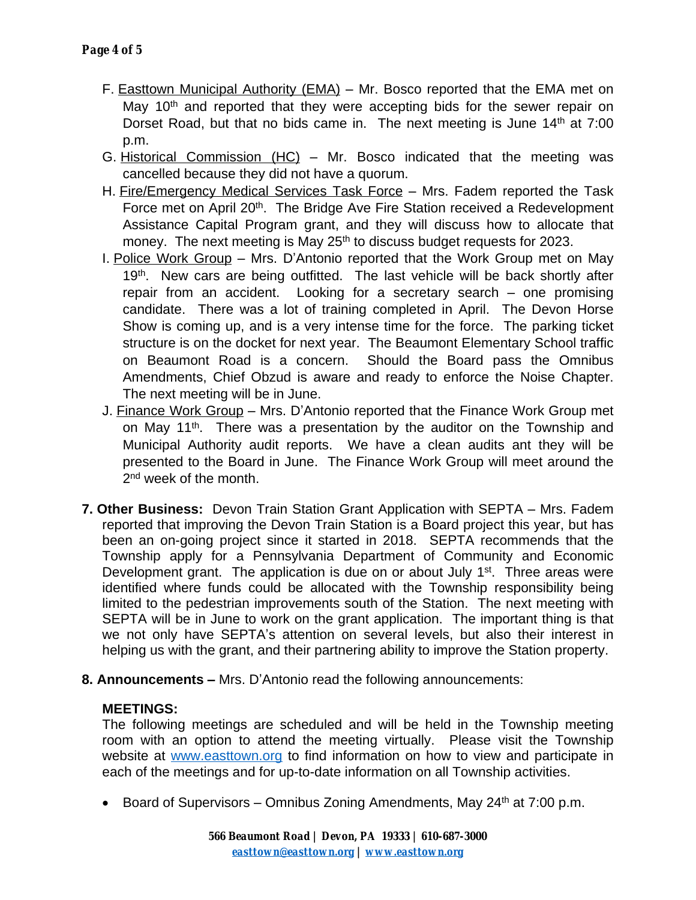- F. Easttown Municipal Authority (EMA) Mr. Bosco reported that the EMA met on May 10<sup>th</sup> and reported that they were accepting bids for the sewer repair on Dorset Road, but that no bids came in. The next meeting is June 14<sup>th</sup> at 7:00 p.m.
- G. Historical Commission (HC) Mr. Bosco indicated that the meeting was cancelled because they did not have a quorum.
- H. Fire/Emergency Medical Services Task Force Mrs. Fadem reported the Task Force met on April 20<sup>th</sup>. The Bridge Ave Fire Station received a Redevelopment Assistance Capital Program grant, and they will discuss how to allocate that money. The next meeting is May 25<sup>th</sup> to discuss budget requests for 2023.
- I. Police Work Group Mrs. D'Antonio reported that the Work Group met on May 19<sup>th</sup>. New cars are being outfitted. The last vehicle will be back shortly after repair from an accident. Looking for a secretary search – one promising candidate. There was a lot of training completed in April. The Devon Horse Show is coming up, and is a very intense time for the force. The parking ticket structure is on the docket for next year. The Beaumont Elementary School traffic on Beaumont Road is a concern. Should the Board pass the Omnibus Amendments, Chief Obzud is aware and ready to enforce the Noise Chapter. The next meeting will be in June.
- J. Finance Work Group Mrs. D'Antonio reported that the Finance Work Group met on May 11<sup>th</sup>. There was a presentation by the auditor on the Township and Municipal Authority audit reports. We have a clean audits ant they will be presented to the Board in June. The Finance Work Group will meet around the 2<sup>nd</sup> week of the month.
- **7. Other Business:** Devon Train Station Grant Application with SEPTA Mrs. Fadem reported that improving the Devon Train Station is a Board project this year, but has been an on-going project since it started in 2018. SEPTA recommends that the Township apply for a Pennsylvania Department of Community and Economic Development grant. The application is due on or about July 1<sup>st</sup>. Three areas were identified where funds could be allocated with the Township responsibility being limited to the pedestrian improvements south of the Station. The next meeting with SEPTA will be in June to work on the grant application. The important thing is that we not only have SEPTA's attention on several levels, but also their interest in helping us with the grant, and their partnering ability to improve the Station property.
- **8. Announcements –** Mrs. D'Antonio read the following announcements:

## **MEETINGS:**

The following meetings are scheduled and will be held in the Township meeting room with an option to attend the meeting virtually. Please visit the Township website at [www.easttown.org](http://www.easttown.org) to find information on how to view and participate in each of the meetings and for up-to-date information on all Township activities.

Board of Supervisors – Omnibus Zoning Amendments, May  $24<sup>th</sup>$  at 7:00 p.m.